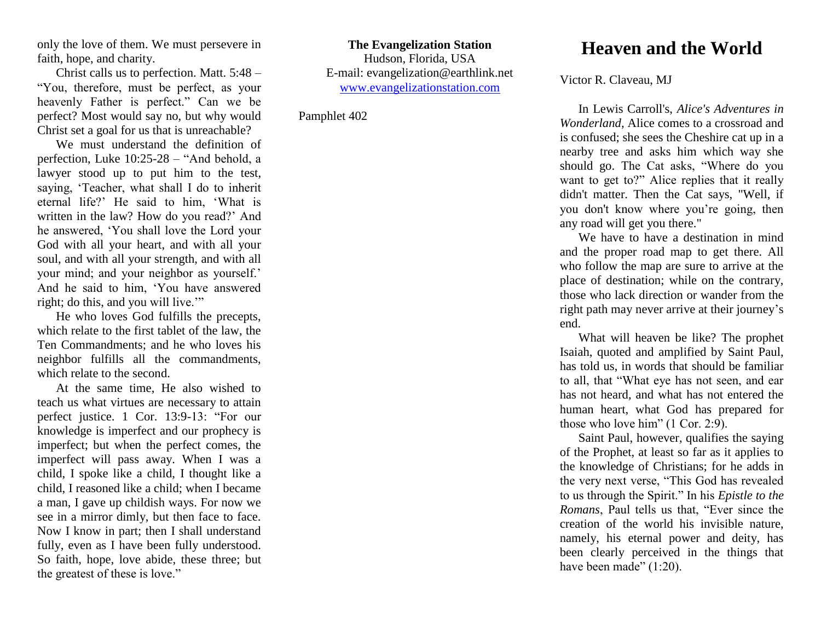only the love of them. We must persevere in faith, hope, and charity.

Christ calls us to perfection. Matt. 5:48 – "You, therefore, must be perfect, as your heavenly Father is perfect." Can we be perfect? Most would say no, but why would Christ set a goal for us that is unreachable?

We must understand the definition of perfection, Luke 10:25-28 – "And behold, a lawyer stood up to put him to the test, saying, 'Teacher, what shall I do to inherit eternal life?' He said to him, 'What is written in the law? How do you read?' And he answered, 'You shall love the Lord your God with all your heart, and with all your soul, and with all your strength, and with all your mind; and your neighbor as yourself.' And he said to him, 'You have answered right; do this, and you will live.'"

He who loves God fulfills the precepts, which relate to the first tablet of the law, the Ten Commandments; and he who loves his neighbor fulfills all the commandments, which relate to the second.

At the same time, He also wished to teach us what virtues are necessary to attain perfect justice. 1 Cor. 13:9-13: "For our knowledge is imperfect and our prophecy is imperfect; but when the perfect comes, the imperfect will pass away. When I was a child, I spoke like a child, I thought like a child, I reasoned like a child; when I became a man, I gave up childish ways. For now we see in a mirror dimly, but then face to face. Now I know in part; then I shall understand fully, even as I have been fully understood. So faith, hope, love abide, these three; but the greatest of these is love."

**The Evangelization Station**  Hudson, Florida, USA E-mail: evangelization@earthlink.net [www.evangelizationstation.com](http://www.pjpiisoe.org/)

Pamphlet 402

## **Heaven and the World**

Victor R. Claveau, MJ

In Lewis Carroll's, *Alice's Adventures in Wonderland,* Alice comes to a crossroad and is confused; she sees the Cheshire cat up in a nearby tree and asks him which way she should go. The Cat asks, "Where do you want to get to?" Alice replies that it really didn't matter. Then the Cat says, "Well, if you don't know where you're going, then any road will get you there."

We have to have a destination in mind and the proper road map to get there. All who follow the map are sure to arrive at the place of destination; while on the contrary, those who lack direction or wander from the right path may never arrive at their journey's end.

What will heaven be like? The prophet Isaiah, quoted and amplified by Saint Paul, has told us, in words that should be familiar to all, that "What eye has not seen, and ear has not heard, and what has not entered the human heart, what God has prepared for those who love him" (1 Cor. 2:9).

Saint Paul, however, qualifies the saying of the Prophet, at least so far as it applies to the knowledge of Christians; for he adds in the very next verse, "This God has revealed to us through the Spirit." In his *Epistle to the Romans*, Paul tells us that, "Ever since the creation of the world his invisible nature, namely, his eternal power and deity, has been clearly perceived in the things that have been made" (1:20).